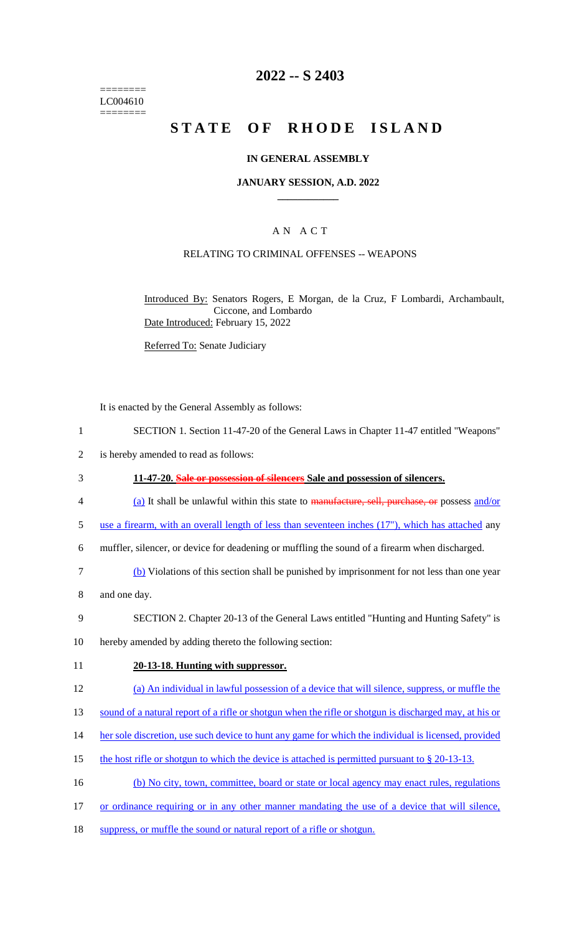======== LC004610 ========

# **2022 -- S 2403**

# **STATE OF RHODE ISLAND**

### **IN GENERAL ASSEMBLY**

### **JANUARY SESSION, A.D. 2022 \_\_\_\_\_\_\_\_\_\_\_\_**

### A N A C T

### RELATING TO CRIMINAL OFFENSES -- WEAPONS

Introduced By: Senators Rogers, E Morgan, de la Cruz, F Lombardi, Archambault, Ciccone, and Lombardo Date Introduced: February 15, 2022

Referred To: Senate Judiciary

It is enacted by the General Assembly as follows:

- 1 SECTION 1. Section 11-47-20 of the General Laws in Chapter 11-47 entitled "Weapons"
- 2 is hereby amended to read as follows:
- 3 **11-47-20. Sale or possession of silencers Sale and possession of silencers.**
- 4 (a) It shall be unlawful within this state to manufacture, sell, purchase, or possess and/or
- 5 use a firearm, with an overall length of less than seventeen inches (17"), which has attached any
- 6 muffler, silencer, or device for deadening or muffling the sound of a firearm when discharged.
- 7 (b) Violations of this section shall be punished by imprisonment for not less than one year
- 8 and one day.
- 9 SECTION 2. Chapter 20-13 of the General Laws entitled "Hunting and Hunting Safety" is
- 10 hereby amended by adding thereto the following section:
- 11 **20-13-18. Hunting with suppressor.**
- 12 (a) An individual in lawful possession of a device that will silence, suppress, or muffle the
- 13 sound of a natural report of a rifle or shotgun when the rifle or shotgun is discharged may, at his or
- 14 her sole discretion, use such device to hunt any game for which the individual is licensed, provided
- 15 the host rifle or shotgun to which the device is attached is permitted pursuant to § 20-13-13.
- 16 (b) No city, town, committee, board or state or local agency may enact rules, regulations
- 17 or ordinance requiring or in any other manner mandating the use of a device that will silence,
- 18 suppress, or muffle the sound or natural report of a rifle or shotgun.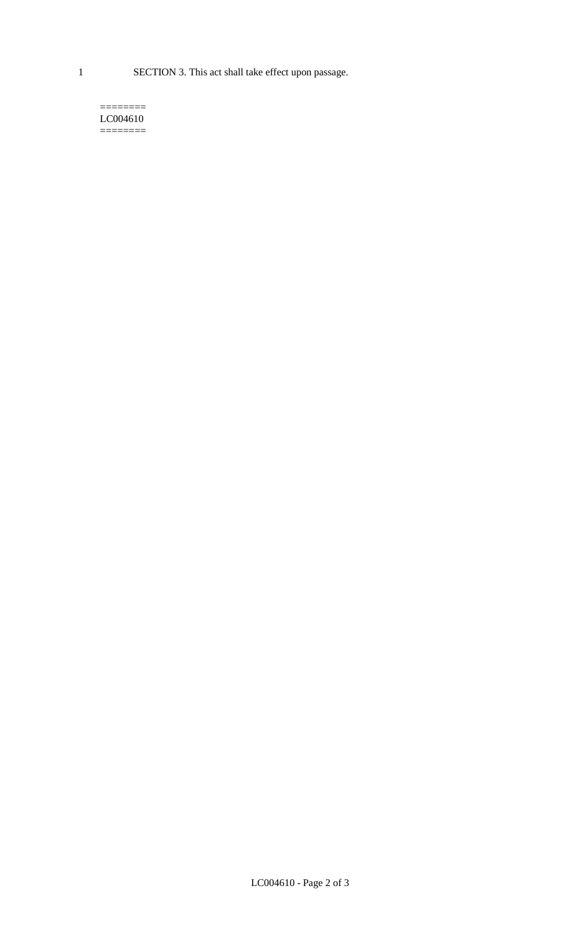1 SECTION 3. This act shall take effect upon passage.

#### $=$ LC004610  $=$

LC004610 - Page 2 of 3